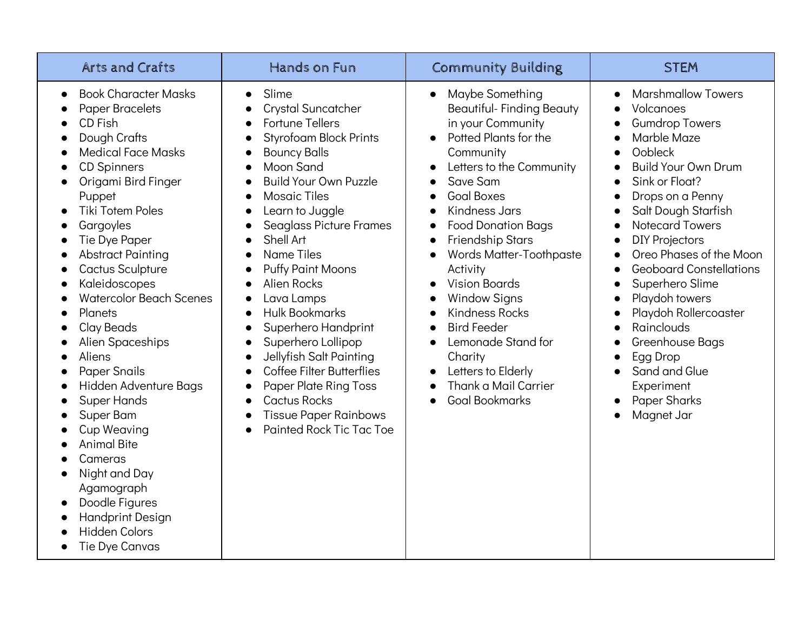| Arts and Crafts                                                                                                                                                                                                                                                                                                                                                                                                                                                                                                                                                                                                                                                                                                                                                                                                                                                          | Hands on Fun                                                                                                                                                                                                                                                                                                                                                                                                                                                                                                                                                                                                                                                                                                                                                                                                                                          | <b>Community Building</b>                                                                                                                                                                                                                                                                                                                                                                                                                                                                                                               | <b>STEM</b>                                                                                                                                                                                                                                                                                                                                                                                                                                                                                                                             |
|--------------------------------------------------------------------------------------------------------------------------------------------------------------------------------------------------------------------------------------------------------------------------------------------------------------------------------------------------------------------------------------------------------------------------------------------------------------------------------------------------------------------------------------------------------------------------------------------------------------------------------------------------------------------------------------------------------------------------------------------------------------------------------------------------------------------------------------------------------------------------|-------------------------------------------------------------------------------------------------------------------------------------------------------------------------------------------------------------------------------------------------------------------------------------------------------------------------------------------------------------------------------------------------------------------------------------------------------------------------------------------------------------------------------------------------------------------------------------------------------------------------------------------------------------------------------------------------------------------------------------------------------------------------------------------------------------------------------------------------------|-----------------------------------------------------------------------------------------------------------------------------------------------------------------------------------------------------------------------------------------------------------------------------------------------------------------------------------------------------------------------------------------------------------------------------------------------------------------------------------------------------------------------------------------|-----------------------------------------------------------------------------------------------------------------------------------------------------------------------------------------------------------------------------------------------------------------------------------------------------------------------------------------------------------------------------------------------------------------------------------------------------------------------------------------------------------------------------------------|
| <b>Book Character Masks</b><br>$\bullet$<br><b>Paper Bracelets</b><br>CD Fish<br>Dough Crafts<br><b>Medical Face Masks</b><br>$\bullet$<br><b>CD Spinners</b><br>Origami Bird Finger<br>$\bullet$<br>Puppet<br><b>Tiki Totem Poles</b><br>Gargoyles<br>$\bullet$<br>Tie Dye Paper<br>$\bullet$<br><b>Abstract Painting</b><br><b>Cactus Sculpture</b><br>$\bullet$<br>Kaleidoscopes<br>$\bullet$<br><b>Watercolor Beach Scenes</b><br>Planets<br>Clay Beads<br>Alien Spaceships<br>Aliens<br>$\bullet$<br><b>Paper Snails</b><br>$\bullet$<br>Hidden Adventure Bags<br><b>Super Hands</b><br>$\bullet$<br>Super Bam<br>$\bullet$<br><b>Cup Weaving</b><br><b>Animal Bite</b><br>Cameras<br>Night and Day<br>$\bullet$<br>Agamograph<br>Doodle Figures<br>$\bullet$<br><b>Handprint Design</b><br>$\bullet$<br><b>Hidden Colors</b><br><b>Tie Dye Canvas</b><br>$\bullet$ | Slime<br>$\bullet$<br>Crystal Suncatcher<br>$\bullet$<br><b>Fortune Tellers</b><br>$\bullet$<br>Styrofoam Block Prints<br>$\bullet$<br><b>Bouncy Balls</b><br>Moon Sand<br><b>Build Your Own Puzzle</b><br>$\bullet$<br><b>Mosaic Tiles</b><br>$\bullet$<br>Learn to Juggle<br>$\bullet$<br>Seaglass Picture Frames<br>$\bullet$<br>Shell Art<br>$\bullet$<br><b>Name Tiles</b><br>$\bullet$<br><b>Puffy Paint Moons</b><br>$\bullet$<br>Alien Rocks<br>$\bullet$<br>Lava Lamps<br>$\bullet$<br><b>Hulk Bookmarks</b><br>$\bullet$<br>Superhero Handprint<br>$\bullet$<br>Superhero Lollipop<br>Jellyfish Salt Painting<br>$\bullet$<br><b>Coffee Filter Butterflies</b><br>$\bullet$<br>Paper Plate Ring Toss<br>$\bullet$<br><b>Cactus Rocks</b><br>$\bullet$<br><b>Tissue Paper Rainbows</b><br>$\bullet$<br>Painted Rock Tic Tac Toe<br>$\bullet$ | Maybe Something<br>$\bullet$<br><b>Beautiful-Finding Beauty</b><br>in your Community<br>Potted Plants for the<br>Community<br>Letters to the Community<br>Save Sam<br><b>Goal Boxes</b><br>$\bullet$<br><b>Kindness Jars</b><br><b>Food Donation Bags</b><br>$\bullet$<br>Friendship Stars<br>Words Matter-Toothpaste<br>Activity<br><b>Vision Boards</b><br><b>Window Signs</b><br><b>Kindness Rocks</b><br><b>Bird Feeder</b><br>Lemonade Stand for<br>Charity<br>Letters to Elderly<br>Thank a Mail Carrier<br><b>Goal Bookmarks</b> | <b>Marshmallow Towers</b><br>$\bullet$<br>Volcanoes<br>$\bullet$<br><b>Gumdrop Towers</b><br>$\bullet$<br>Marble Maze<br>Oobleck<br><b>Build Your Own Drum</b><br>Sink or Float?<br>Drops on a Penny<br>Salt Dough Starfish<br><b>Notecard Towers</b><br><b>DIY Projectors</b><br>Oreo Phases of the Moon<br><b>Geoboard Constellations</b><br>Superhero Slime<br>Playdoh towers<br>Playdoh Rollercoaster<br>Rainclouds<br>Greenhouse Bags<br>Egg Drop<br>Sand and Glue<br>$\bullet$<br>Experiment<br><b>Paper Sharks</b><br>Magnet Jar |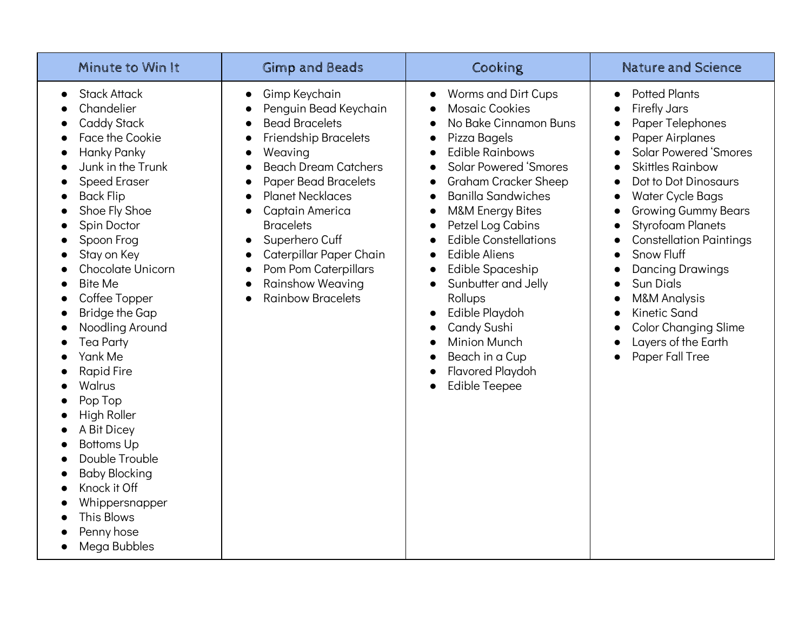| Minute to Win It                                                                                                                                                                                                                                                                                                                                                                                                                                                                                                                                                                                                                    | <b>Gimp and Beads</b>                                                                                                                                                                                                                                                                                                                                                                                                                                                                                                                                | Cooking                                                                                                                                                                                                                                                                                                                                                                                                                                                                                                                                                       | <b>Nature and Science</b>                                                                                                                                                                                                                                                                                                                                                                                                                                                                                                         |
|-------------------------------------------------------------------------------------------------------------------------------------------------------------------------------------------------------------------------------------------------------------------------------------------------------------------------------------------------------------------------------------------------------------------------------------------------------------------------------------------------------------------------------------------------------------------------------------------------------------------------------------|------------------------------------------------------------------------------------------------------------------------------------------------------------------------------------------------------------------------------------------------------------------------------------------------------------------------------------------------------------------------------------------------------------------------------------------------------------------------------------------------------------------------------------------------------|---------------------------------------------------------------------------------------------------------------------------------------------------------------------------------------------------------------------------------------------------------------------------------------------------------------------------------------------------------------------------------------------------------------------------------------------------------------------------------------------------------------------------------------------------------------|-----------------------------------------------------------------------------------------------------------------------------------------------------------------------------------------------------------------------------------------------------------------------------------------------------------------------------------------------------------------------------------------------------------------------------------------------------------------------------------------------------------------------------------|
| <b>Stack Attack</b><br>$\bullet$<br>Chandelier<br><b>Caddy Stack</b><br><b>Face the Cookie</b><br>Hanky Panky<br>Junk in the Trunk<br><b>Speed Eraser</b><br><b>Back Flip</b><br>$\bullet$<br>Shoe Fly Shoe<br>Spin Doctor<br>Spoon Frog<br>Stay on Key<br>Chocolate Unicorn<br><b>Bite Me</b><br>$\bullet$<br>Coffee Topper<br><b>Bridge the Gap</b><br>$\epsilon$<br>Noodling Around<br>Tea Party<br>Yank Me<br><b>Rapid Fire</b><br>Walrus<br>Pop Top<br>High Roller<br>A Bit Dicey<br><b>Bottoms Up</b><br>Double Trouble<br><b>Baby Blocking</b><br>Knock it Off<br>Whippersnapper<br>This Blows<br>Penny hose<br>Mega Bubbles | Gimp Keychain<br>$\bullet$<br>Penguin Bead Keychain<br>$\bullet$<br><b>Bead Bracelets</b><br>$\bullet$<br>Friendship Bracelets<br>$\bullet$<br>Weaving<br>$\bullet$<br><b>Beach Dream Catchers</b><br>$\bullet$<br><b>Paper Bead Bracelets</b><br>$\bullet$<br><b>Planet Necklaces</b><br>$\bullet$<br>Captain America<br>$\bullet$<br><b>Bracelets</b><br>Superhero Cuff<br>$\bullet$<br>Caterpillar Paper Chain<br>$\bullet$<br>Pom Pom Caterpillars<br>$\bullet$<br><b>Rainshow Weaving</b><br>$\bullet$<br><b>Rainbow Bracelets</b><br>$\bullet$ | Worms and Dirt Cups<br><b>Mosaic Cookies</b><br>$\bullet$<br>No Bake Cinnamon Buns<br>Pizza Bagels<br><b>Edible Rainbows</b><br><b>Solar Powered 'Smores</b><br><b>Graham Cracker Sheep</b><br>$\bullet$<br><b>Banilla Sandwiches</b><br>$\bullet$<br><b>M&amp;M Energy Bites</b><br>Petzel Log Cabins<br><b>Edible Constellations</b><br><b>Edible Aliens</b><br>Edible Spaceship<br>Sunbutter and Jelly<br>$\bullet$<br>Rollups<br>Edible Playdoh<br>Candy Sushi<br>Minion Munch<br>Beach in a Cup<br>Flavored Playdoh<br>$\bullet$<br><b>Edible Teepee</b> | <b>Potted Plants</b><br><b>Firefly Jars</b><br>$\bullet$<br>Paper Telephones<br>Paper Airplanes<br><b>Solar Powered 'Smores</b><br><b>Skittles Rainbow</b><br>Dot to Dot Dinosaurs<br>Water Cycle Bags<br><b>Growing Gummy Bears</b><br><b>Styrofoam Planets</b><br><b>Constellation Paintings</b><br>Snow Fluff<br><b>Dancing Drawings</b><br><b>Sun Dials</b><br>$\bullet$<br><b>M&amp;M Analysis</b><br><b>Kinetic Sand</b><br>$\bullet$<br><b>Color Changing Slime</b><br>Layers of the Earth<br>Paper Fall Tree<br>$\bullet$ |